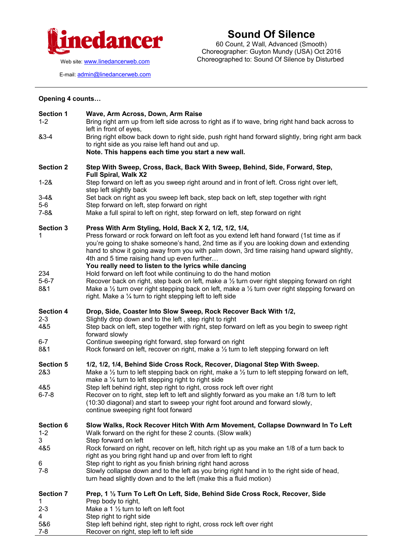

## **Sound Of Silence**

60 Count, 2 Wall, Advanced (Smooth) Choreographer: Guyton Mundy (USA) Oct 2016 Choreographed to: Sound Of Silence by Disturbed

E-mail: [admin@linedancerweb.com](mailto:admin@linedancerweb.com)

## **Opening 4 counts…**

| <b>Section 1</b><br>$1 - 2$                                    | Wave, Arm Across, Down, Arm Raise<br>Bring right arm up from left side across to right as if to wave, bring right hand back across to<br>left in front of eyes,                                                                                                                                                                                                                                                                                       |
|----------------------------------------------------------------|-------------------------------------------------------------------------------------------------------------------------------------------------------------------------------------------------------------------------------------------------------------------------------------------------------------------------------------------------------------------------------------------------------------------------------------------------------|
| 83-4                                                           | Bring right elbow back down to right side, push right hand forward slightly, bring right arm back<br>to right side as you raise left hand out and up.<br>Note. This happens each time you start a new wall.                                                                                                                                                                                                                                           |
| <b>Section 2</b>                                               | Step With Sweep, Cross, Back, Back With Sweep, Behind, Side, Forward, Step,<br><b>Full Spiral, Walk X2</b>                                                                                                                                                                                                                                                                                                                                            |
| $1 - 28$                                                       | Step forward on left as you sweep right around and in front of left. Cross right over left,<br>step left slightly back                                                                                                                                                                                                                                                                                                                                |
| $3 - 48$<br>$5-6$                                              | Set back on right as you sweep left back, step back on left, step together with right<br>Step forward on left, step forward on right                                                                                                                                                                                                                                                                                                                  |
| $7 - 88$                                                       | Make a full spiral to left on right, step forward on left, step forward on right                                                                                                                                                                                                                                                                                                                                                                      |
| <b>Section 3</b><br>1                                          | Press With Arm Styling, Hold, Back X 2, 1/2, 1/2, 1/4,<br>Press forward or rock forward on left foot as you extend left hand forward (1st time as if<br>you're going to shake someone's hand, 2nd time as if you are looking down and extending<br>hand to show it going away from you with palm down, 3rd time raising hand upward slightly,<br>4th and 5 time raising hand up even further<br>You really need to listen to the lyrics while dancing |
| 234<br>$5 - 6 - 7$<br>8&1                                      | Hold forward on left foot while continuing to do the hand motion<br>Recover back on right, step back on left, make a 1/2 turn over right stepping forward on right<br>Make a $\frac{1}{2}$ turn over right stepping back on left, make a $\frac{1}{2}$ turn over right stepping forward on<br>right. Make a $\frac{1}{4}$ turn to right stepping left to left side                                                                                    |
| <b>Section 4</b><br>$2 - 3$<br>4&5<br>$6 - 7$                  | Drop, Side, Coaster Into Slow Sweep, Rock Recover Back With 1/2,<br>Slightly drop down and to the left, step right to right<br>Step back on left, step together with right, step forward on left as you begin to sweep right<br>forward slowly<br>Continue sweeping right forward, step forward on right                                                                                                                                              |
| 8&1                                                            | Rock forward on left, recover on right, make a $\frac{1}{2}$ turn to left stepping forward on left                                                                                                                                                                                                                                                                                                                                                    |
| <b>Section 5</b><br>2&3<br>4&5                                 | 1/2, 1/2, 1/4, Behind Side Cross Rock, Recover, Diagonal Step With Sweep.<br>Make a $\frac{1}{2}$ turn to left stepping back on right, make a $\frac{1}{2}$ turn to left stepping forward on left,<br>make a $\frac{1}{4}$ turn to left stepping right to right side<br>Step left behind right, step right to right, cross rock left over right                                                                                                       |
| $6 - 7 - 8$                                                    | Recover on to right, step left to left and slightly forward as you make an 1/8 turn to left<br>(10:30 diagonal) and start to sweep your right foot around and forward slowly,<br>continue sweeping right foot forward                                                                                                                                                                                                                                 |
| <b>Section 6</b><br>$1 - 2$<br>3                               | Slow Walks, Rock Recover Hitch With Arm Movement, Collapse Downward In To Left<br>Walk forward on the right for these 2 counts. (Slow walk)<br>Step forward on left                                                                                                                                                                                                                                                                                   |
| 4&5                                                            | Rock forward on right, recover on left, hitch right up as you make an 1/8 of a turn back to<br>right as you bring right hand up and over from left to right                                                                                                                                                                                                                                                                                           |
| 6<br>$7-8$                                                     | Step right to right as you finish brining right hand across<br>Slowly collapse down and to the left as you bring right hand in to the right side of head,<br>turn head slightly down and to the left (make this a fluid motion)                                                                                                                                                                                                                       |
| <b>Section 7</b><br>1<br>$2 - 3$<br>4<br>5&6<br>$\overline{z}$ | Prep, 1 1/2 Turn To Left On Left, Side, Behind Side Cross Rock, Recover, Side<br>Prep body to right,<br>Make a 1 $\frac{1}{2}$ turn to left on left foot<br>Step right to right side<br>Step left behind right, step right to right, cross rock left over right                                                                                                                                                                                       |

7-8 Recover on right, step left to left side